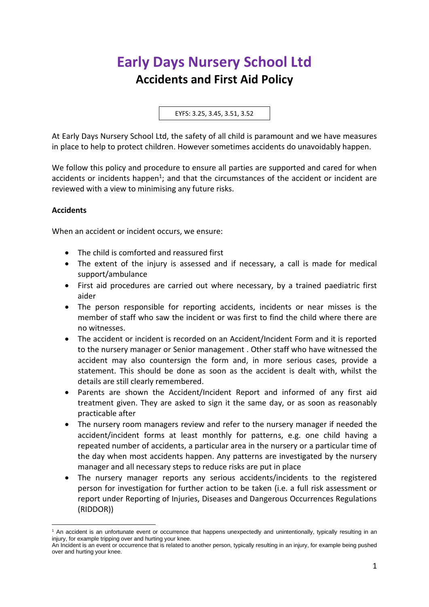# **Early Days Nursery School Ltd Accidents and First Aid Policy**

EYFS: 3.25, 3.45, 3.51, 3.52

At Early Days Nursery School Ltd, the safety of all child is paramount and we have measures in place to help to protect children. However sometimes accidents do unavoidably happen.

We follow this policy and procedure to ensure all parties are supported and cared for when accidents or incidents happen<sup>1</sup>; and that the circumstances of the accident or incident are reviewed with a view to minimising any future risks.

### **Accidents**

When an accident or incident occurs, we ensure:

- The child is comforted and reassured first
- The extent of the injury is assessed and if necessary, a call is made for medical support/ambulance
- First aid procedures are carried out where necessary, by a trained paediatric first aider
- The person responsible for reporting accidents, incidents or near misses is the member of staff who saw the incident or was first to find the child where there are no witnesses.
- The accident or incident is recorded on an Accident/Incident Form and it is reported to the nursery manager or Senior management . Other staff who have witnessed the accident may also countersign the form and, in more serious cases, provide a statement. This should be done as soon as the accident is dealt with, whilst the details are still clearly remembered.
- Parents are shown the Accident/Incident Report and informed of any first aid treatment given. They are asked to sign it the same day, or as soon as reasonably practicable after
- The nursery room managers review and refer to the nursery manager if needed the accident/incident forms at least monthly for patterns, e.g. one child having a repeated number of accidents, a particular area in the nursery or a particular time of the day when most accidents happen. Any patterns are investigated by the nursery manager and all necessary steps to reduce risks are put in place
- The nursery manager reports any serious accidents/incidents to the registered person for investigation for further action to be taken (i.e. a full risk assessment or report under Reporting of Injuries, Diseases and Dangerous Occurrences Regulations (RIDDOR))

<sup>&</sup>lt;sup>1</sup> An accident is an unfortunate event or occurrence that happens unexpectedly and unintentionally, typically resulting in an injury, for example tripping over and hurting your knee.

An Incident is an event or occurrence that is related to another person, typically resulting in an injury, for example being pushed over and hurting your knee.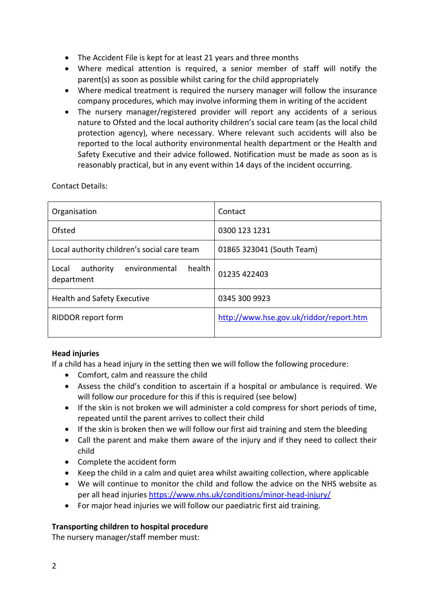- The Accident File is kept for at least 21 years and three months
- Where medical attention is required, a senior member of staff will notify the parent(s) as soon as possible whilst caring for the child appropriately
- Where medical treatment is required the nursery manager will follow the insurance company procedures, which may involve informing them in writing of the accident
- The nursery manager/registered provider will report any accidents of a serious nature to Ofsted and the local authority children's social care team (as the local child protection agency), where necessary. Where relevant such accidents will also be reported to the local authority environmental health department or the Health and Safety Executive and their advice followed. Notification must be made as soon as is reasonably practical, but in any event within 14 days of the incident occurring.

Contact Details:

| Organisation                                                | Contact                                 |  |
|-------------------------------------------------------------|-----------------------------------------|--|
| Ofsted                                                      | 0300 123 1231                           |  |
| Local authority children's social care team                 | 01865 323041 (South Team)               |  |
| environmental<br>health<br>authority<br>Local<br>department | 01235 422403                            |  |
| <b>Health and Safety Executive</b>                          | 0345 300 9923                           |  |
| RIDDOR report form                                          | http://www.hse.gov.uk/riddor/report.htm |  |

## **Head injuries**

If a child has a head injury in the setting then we will follow the following procedure:

- Comfort, calm and reassure the child
- Assess the child's condition to ascertain if a hospital or ambulance is required. We will follow our procedure for this if this is required (see below)
- If the skin is not broken we will administer a cold compress for short periods of time, repeated until the parent arrives to collect their child
- If the skin is broken then we will follow our first aid training and stem the bleeding
- Call the parent and make them aware of the injury and if they need to collect their child
- Complete the accident form
- Keep the child in a calm and quiet area whilst awaiting collection, where applicable
- We will continue to monitor the child and follow the advice on the NHS website as per all head injurie[s https://www.nhs.uk/conditions/minor-head-injury/](https://www.nhs.uk/conditions/minor-head-injury/)
- For major head injuries we will follow our paediatric first aid training.

## **Transporting children to hospital procedure**

The nursery manager/staff member must: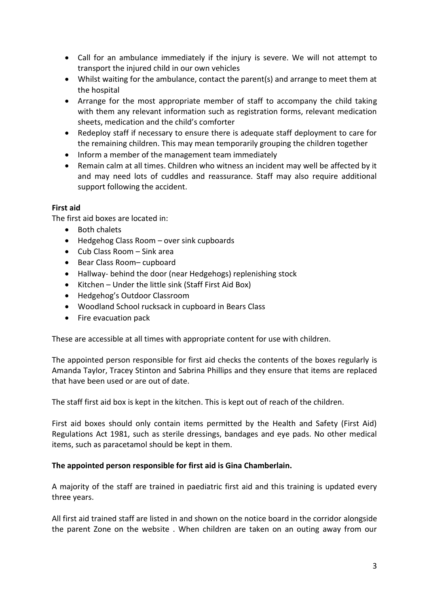- Call for an ambulance immediately if the injury is severe. We will not attempt to transport the injured child in our own vehicles
- Whilst waiting for the ambulance, contact the parent(s) and arrange to meet them at the hospital
- Arrange for the most appropriate member of staff to accompany the child taking with them any relevant information such as registration forms, relevant medication sheets, medication and the child's comforter
- Redeploy staff if necessary to ensure there is adequate staff deployment to care for the remaining children. This may mean temporarily grouping the children together
- Inform a member of the management team immediately
- Remain calm at all times. Children who witness an incident may well be affected by it and may need lots of cuddles and reassurance. Staff may also require additional support following the accident.

## **First aid**

The first aid boxes are located in:

- Both chalets
- Hedgehog Class Room over sink cupboards
- Cub Class Room Sink area
- Bear Class Room– cupboard
- Hallway- behind the door (near Hedgehogs) replenishing stock
- Kitchen Under the little sink (Staff First Aid Box)
- Hedgehog's Outdoor Classroom
- Woodland School rucksack in cupboard in Bears Class
- Fire evacuation pack

These are accessible at all times with appropriate content for use with children.

The appointed person responsible for first aid checks the contents of the boxes regularly is Amanda Taylor, Tracey Stinton and Sabrina Phillips and they ensure that items are replaced that have been used or are out of date.

The staff first aid box is kept in the kitchen. This is kept out of reach of the children.

First aid boxes should only contain items permitted by the Health and Safety (First Aid) Regulations Act 1981, such as sterile dressings, bandages and eye pads. No other medical items, such as paracetamol should be kept in them.

#### **The appointed person responsible for first aid is Gina Chamberlain.**

A majority of the staff are trained in paediatric first aid and this training is updated every three years.

All first aid trained staff are listed in and shown on the notice board in the corridor alongside the parent Zone on the website . When children are taken on an outing away from our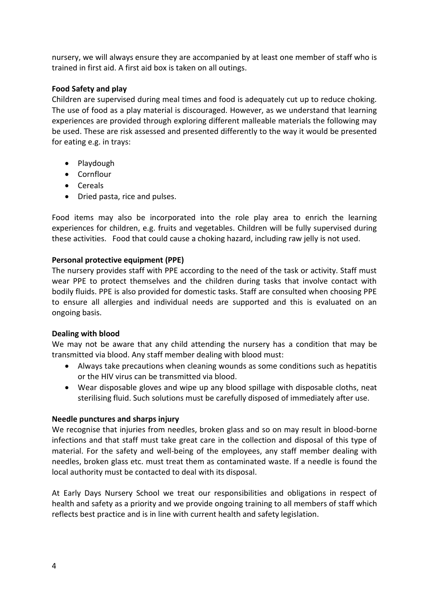nursery, we will always ensure they are accompanied by at least one member of staff who is trained in first aid. A first aid box is taken on all outings.

## **Food Safety and play**

Children are supervised during meal times and food is adequately cut up to reduce choking. The use of food as a play material is discouraged. However, as we understand that learning experiences are provided through exploring different malleable materials the following may be used. These are risk assessed and presented differently to the way it would be presented for eating e.g. in trays:

- Playdough
- Cornflour
- Cereals
- Dried pasta, rice and pulses.

Food items may also be incorporated into the role play area to enrich the learning experiences for children, e.g. fruits and vegetables. Children will be fully supervised during these activities. Food that could cause a choking hazard, including raw jelly is not used.

## **Personal protective equipment (PPE)**

The nursery provides staff with PPE according to the need of the task or activity. Staff must wear PPE to protect themselves and the children during tasks that involve contact with bodily fluids. PPE is also provided for domestic tasks. Staff are consulted when choosing PPE to ensure all allergies and individual needs are supported and this is evaluated on an ongoing basis.

## **Dealing with blood**

We may not be aware that any child attending the nursery has a condition that may be transmitted via blood. Any staff member dealing with blood must:

- Always take precautions when cleaning wounds as some conditions such as hepatitis or the HIV virus can be transmitted via blood.
- Wear disposable gloves and wipe up any blood spillage with disposable cloths, neat sterilising fluid. Such solutions must be carefully disposed of immediately after use.

## **Needle punctures and sharps injury**

We recognise that injuries from needles, broken glass and so on may result in blood-borne infections and that staff must take great care in the collection and disposal of this type of material. For the safety and well-being of the employees, any staff member dealing with needles, broken glass etc. must treat them as contaminated waste. If a needle is found the local authority must be contacted to deal with its disposal.

At Early Days Nursery School we treat our responsibilities and obligations in respect of health and safety as a priority and we provide ongoing training to all members of staff which reflects best practice and is in line with current health and safety legislation.